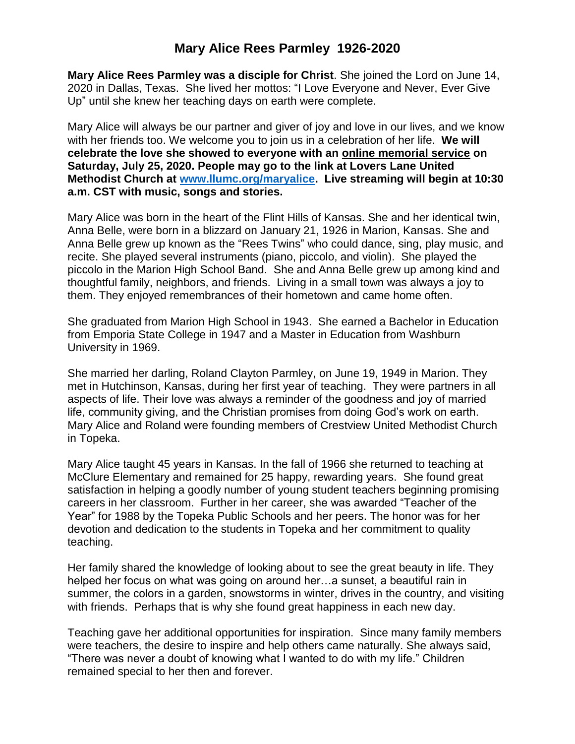## **Mary Alice Rees Parmley 1926-2020**

**Mary Alice Rees Parmley was a disciple for Christ**. She joined the Lord on June 14, 2020 in Dallas, Texas. She lived her mottos: "I Love Everyone and Never, Ever Give Up" until she knew her teaching days on earth were complete.

Mary Alice will always be our partner and giver of joy and love in our lives, and we know with her friends too. We welcome you to join us in a celebration of her life. **We will celebrate the love she showed to everyone with an online memorial service on Saturday, July 25, 2020. People may go to the link at Lovers Lane United Methodist Church at [www.llumc.org/maryalice.](http://www.llumc.org/maryalice) Live streaming will begin at 10:30 a.m. CST with music, songs and stories.** 

Mary Alice was born in the heart of the Flint Hills of Kansas. She and her identical twin, Anna Belle, were born in a blizzard on January 21, 1926 in Marion, Kansas. She and Anna Belle grew up known as the "Rees Twins" who could dance, sing, play music, and recite. She played several instruments (piano, piccolo, and violin). She played the piccolo in the Marion High School Band. She and Anna Belle grew up among kind and thoughtful family, neighbors, and friends. Living in a small town was always a joy to them. They enjoyed remembrances of their hometown and came home often.

She graduated from Marion High School in 1943. She earned a Bachelor in Education from Emporia State College in 1947 and a Master in Education from Washburn University in 1969.

She married her darling, Roland Clayton Parmley, on June 19, 1949 in Marion. They met in Hutchinson, Kansas, during her first year of teaching. They were partners in all aspects of life. Their love was always a reminder of the goodness and joy of married life, community giving, and the Christian promises from doing God's work on earth. Mary Alice and Roland were founding members of Crestview United Methodist Church in Topeka.

Mary Alice taught 45 years in Kansas. In the fall of 1966 she returned to teaching at McClure Elementary and remained for 25 happy, rewarding years. She found great satisfaction in helping a goodly number of young student teachers beginning promising careers in her classroom. Further in her career, she was awarded "Teacher of the Year" for 1988 by the Topeka Public Schools and her peers. The honor was for her devotion and dedication to the students in Topeka and her commitment to quality teaching.

Her family shared the knowledge of looking about to see the great beauty in life. They helped her focus on what was going on around her…a sunset, a beautiful rain in summer, the colors in a garden, snowstorms in winter, drives in the country, and visiting with friends. Perhaps that is why she found great happiness in each new day.

Teaching gave her additional opportunities for inspiration. Since many family members were teachers, the desire to inspire and help others came naturally. She always said, "There was never a doubt of knowing what I wanted to do with my life." Children remained special to her then and forever.